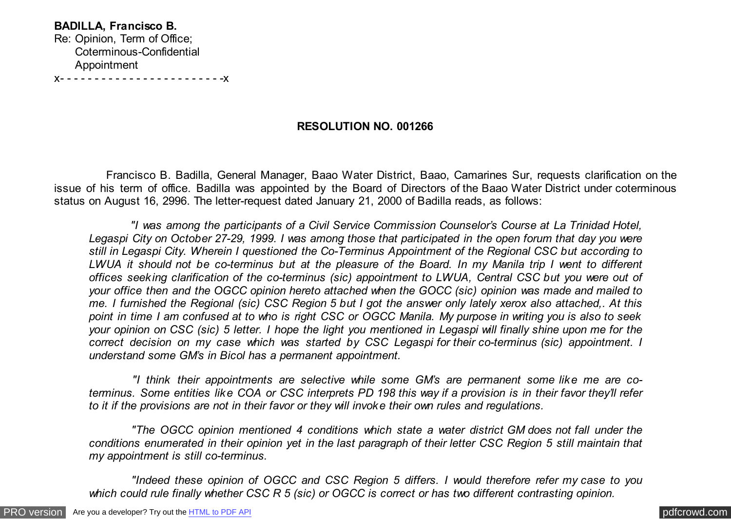**BADILLA, Francisco B.** Re: Opinion, Term of Office; Coterminous-Confidential Appointment

x- - - - - - - - - - - - - - - - - - - - - - - -x

## **RESOLUTION NO. 001266**

 Francisco B. Badilla, General Manager, Baao Water District, Baao, Camarines Sur, requests clarification on the issue of his term of office. Badilla was appointed by the Board of Directors of the Baao Water District under coterminous status on August 16, 2996. The letter-request dated January 21, 2000 of Badilla reads, as follows:

 *"I was among the participants of a Civil Service Commission Counselor's Course at La Trinidad Hotel, Legaspi City on October 27-29, 1999. I was among those that participated in the open forum that day you were still in Legaspi City. Wherein I questioned the Co-Terminus Appointment of the Regional CSC but according to LWUA it should not be co-terminus but at the pleasure of the Board. In my Manila trip I went to different offices seeking clarification of the co-terminus (sic) appointment to LWUA, Central CSC but you were out of your office then and the OGCC opinion hereto attached when the GOCC (sic) opinion was made and mailed to me. I furnished the Regional (sic) CSC Region 5 but I got the answer only lately xerox also attached,. At this point in time I am confused at to who is right CSC or OGCC Manila. My purpose in writing you is also to seek your opinion on CSC (sic) 5 letter. I hope the light you mentioned in Legaspi will finally shine upon me for the correct decision on my case which was started by CSC Legaspi for their co-terminus (sic) appointment. I understand some GM's in Bicol has a permanent appointment.*

 *"I think their appointments are selective while some GM's are permanent some like me are coterminus. Some entities like COA or CSC interprets PD 198 this way if a provision is in their favor they'll refer to it if the provisions are not in their favor or they will invoke their own rules and regulations.*

 *"The OGCC opinion mentioned 4 conditions which state a water district GM does not fall under the conditions enumerated in their opinion yet in the last paragraph of their letter CSC Region 5 still maintain that my appointment is still co-terminus.*

 *"Indeed these opinion of OGCC and CSC Region 5 differs. I would therefore refer my case to you which could rule finally whether CSC R 5 (sic) or OGCC is correct or has two different contrasting opinion.*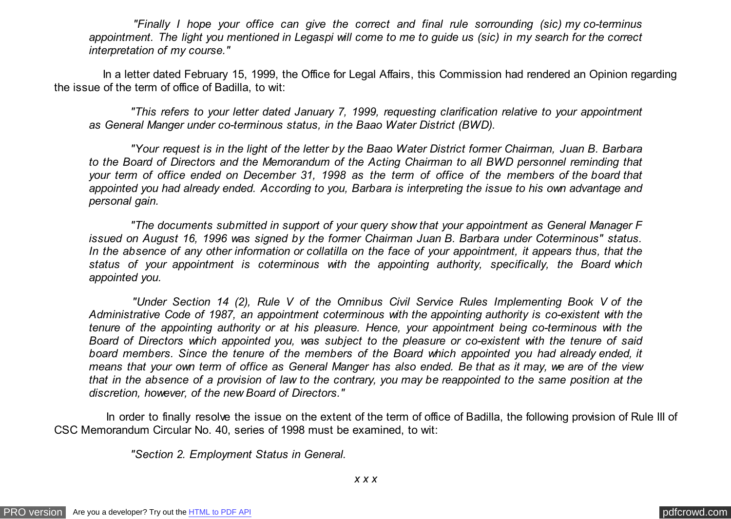*"Finally I hope your office can give the correct and final rule sorrounding (sic) my co-terminus appointment. The light you mentioned in Legaspi will come to me to guide us (sic) in my search for the correct interpretation of my course."*

 In a letter dated February 15, 1999, the Office for Legal Affairs, this Commission had rendered an Opinion regarding the issue of the term of office of Badilla, to wit:

 *"This refers to your letter dated January 7, 1999, requesting clarification relative to your appointment as General Manger under co-terminous status, in the Baao Water District (BWD).*

 *"Your request is in the light of the letter by the Baao Water District former Chairman, Juan B. Barbara to the Board of Directors and the Memorandum of the Acting Chairman to all BWD personnel reminding that your term of office ended on December 31, 1998 as the term of office of the members of the board that appointed you had already ended. According to you, Barbara is interpreting the issue to his own advantage and personal gain.*

 *"The documents submitted in support of your query show that your appointment as General Manager F issued on August 16, 1996 was signed by the former Chairman Juan B. Barbara under Coterminous" status. In the absence of any other information or collatilla on the face of your appointment, it appears thus, that the status of your appointment is coterminous with the appointing authority, specifically, the Board which appointed you.*

 *"Under Section 14 (2), Rule V of the Omnibus Civil Service Rules Implementing Book V of the Administrative Code of 1987, an appointment coterminous with the appointing authority is co-existent with the tenure of the appointing authority or at his pleasure. Hence, your appointment being co-terminous with the Board of Directors which appointed you, was subject to the pleasure or co-existent with the tenure of said board members. Since the tenure of the members of the Board which appointed you had already ended, it means that your own term of office as General Manger has also ended. Be that as it may, we are of the view that in the absence of a provision of law to the contrary, you may be reappointed to the same position at the discretion, however, of the new Board of Directors."*

 In order to finally resolve the issue on the extent of the term of office of Badilla, the following provision of Rule III of CSC Memorandum Circular No. 40, series of 1998 must be examined, to wit:

 *"Section 2. Employment Status in General.*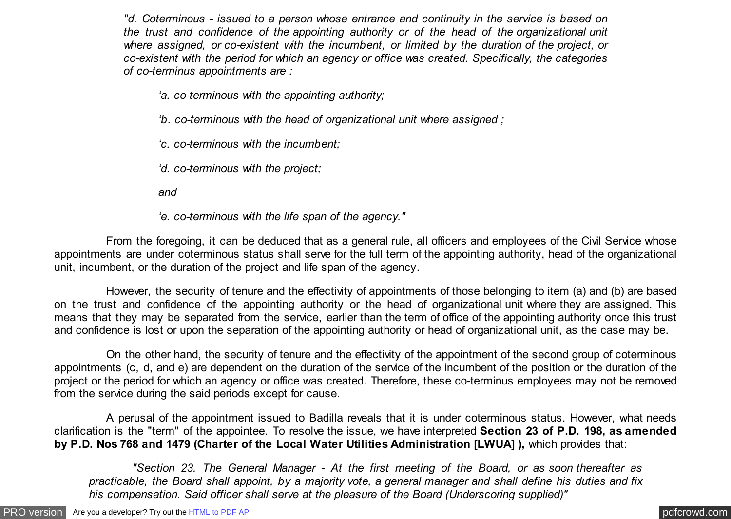*"d. Coterminous - issued to a person whose entrance and continuity in the service is based on the trust and confidence of the appointing authority or of the head of the organizational unit where assigned, or co-existent with the incumbent, or limited by the duration of the project, or co-existent with the period for which an agency or office was created. Specifically, the categories of co-terminus appointments are :*

*'a. co-terminous with the appointing authority;*

*'b. co-terminous with the head of organizational unit where assigned ;*

*'c. co-terminous with the incumbent;*

*'d. co-terminous with the project;*

*and*

*'e. co-terminous with the life span of the agency."*

 From the foregoing, it can be deduced that as a general rule, all officers and employees of the Civil Service whose appointments are under coterminous status shall serve for the full term of the appointing authority, head of the organizational unit, incumbent, or the duration of the project and life span of the agency.

 However, the security of tenure and the effectivity of appointments of those belonging to item (a) and (b) are based on the trust and confidence of the appointing authority or the head of organizational unit where they are assigned. This means that they may be separated from the service, earlier than the term of office of the appointing authority once this trust and confidence is lost or upon the separation of the appointing authority or head of organizational unit, as the case may be.

 On the other hand, the security of tenure and the effectivity of the appointment of the second group of coterminous appointments (c, d, and e) are dependent on the duration of the service of the incumbent of the position or the duration of the project or the period for which an agency or office was created. Therefore, these co-terminus employees may not be removed from the service during the said periods except for cause.

 A perusal of the appointment issued to Badilla reveals that it is under coterminous status. However, what needs clarification is the "term" of the appointee. To resolve the issue, we have interpreted **Section 23 of P.D. 198, as amended by P.D. Nos 768 and 1479 (Charter of the Local Water Utilities Administration [LWUA] ),** which provides that:

 *"Section 23. The General Manager - At the first meeting of the Board, or as soon thereafter as practicable, the Board shall appoint, by a majority vote, a general manager and shall define his duties and fix his compensation. Said officer shall serve at the pleasure of the Board (Underscoring supplied)"*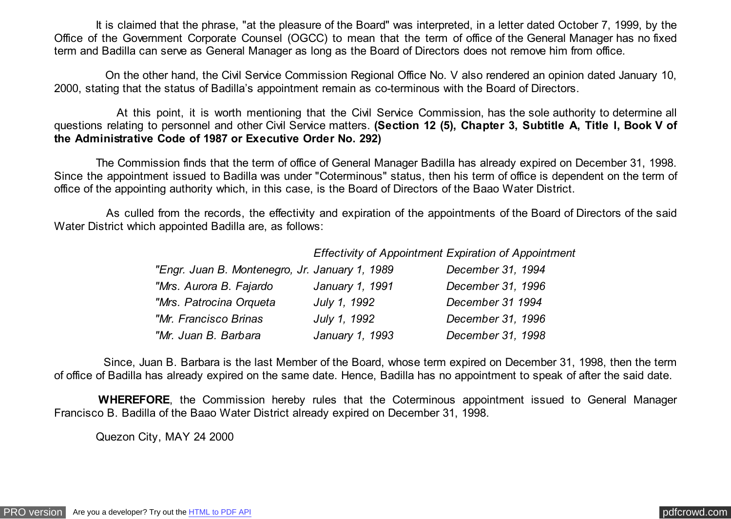It is claimed that the phrase, "at the pleasure of the Board" was interpreted, in a letter dated October 7, 1999, by the Office of the Government Corporate Counsel (OGCC) to mean that the term of office of the General Manager has no fixed term and Badilla can serve as General Manager as long as the Board of Directors does not remove him from office.

 On the other hand, the Civil Service Commission Regional Office No. V also rendered an opinion dated January 10, 2000, stating that the status of Badilla's appointment remain as co-terminous with the Board of Directors.

 At this point, it is worth mentioning that the Civil Service Commission, has the sole authority to determine all questions relating to personnel and other Civil Service matters. **(Section 12 (5), Chapter 3, Subtitle A, Title I, Book V of the Administrative Code of 1987 or Executive Order No. 292)**

 The Commission finds that the term of office of General Manager Badilla has already expired on December 31, 1998. Since the appointment issued to Badilla was under "Coterminous" status, then his term of office is dependent on the term of office of the appointing authority which, in this case, is the Board of Directors of the Baao Water District.

 As culled from the records, the effectivity and expiration of the appointments of the Board of Directors of the said Water District which appointed Badilla are, as follows:

*Effectivity of Appointment Expiration of Appointment*

| "Engr. Juan B. Montenegro, Jr. January 1, 1989 |                 | December 31, 1994 |
|------------------------------------------------|-----------------|-------------------|
| "Mrs. Aurora B. Fajardo                        | January 1, 1991 | December 31, 1996 |
| "Mrs. Patrocina Orqueta                        | July 1, 1992    | December 31 1994  |
| "Mr. Francisco Brinas                          | July 1, 1992    | December 31, 1996 |
| "Mr. Juan B. Barbara                           | January 1, 1993 | December 31, 1998 |

 Since, Juan B. Barbara is the last Member of the Board, whose term expired on December 31, 1998, then the term of office of Badilla has already expired on the same date. Hence, Badilla has no appointment to speak of after the said date.

 **WHEREFORE**, the Commission hereby rules that the Coterminous appointment issued to General Manager Francisco B. Badilla of the Baao Water District already expired on December 31, 1998.

Quezon City, MAY 24 2000